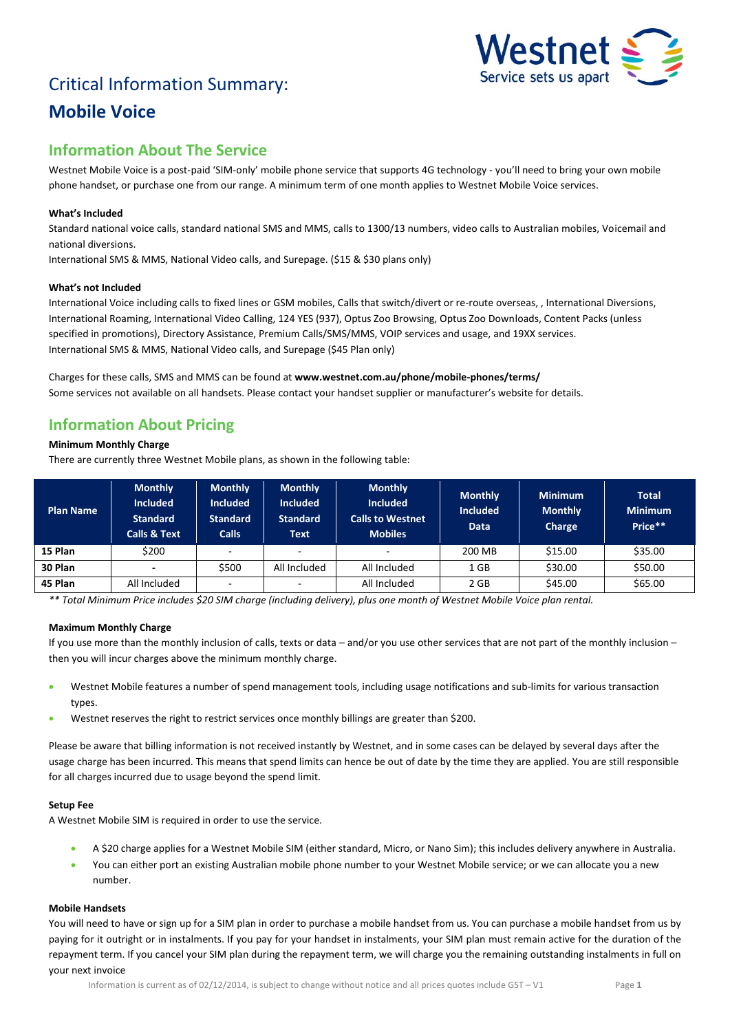# Critical Information Summary: **Mobile Voice**



# **Information About The Service**

Westnet Mobile Voice is a post-paid 'SIM-only' mobile phone service that supports 4G technology - you'll need to bring your own mobile phone handset, or purchase one from our range. A minimum term of one month applies to Westnet Mobile Voice services.

# **What's Included**

Standard national voice calls, standard national SMS and MMS, calls to 1300/13 numbers, video calls to Australian mobiles, Voicemail and national diversions.

International SMS & MMS, National Video calls, and Surepage. (\$15 & \$30 plans only)

#### **What's not Included**

International Voice including calls to fixed lines or GSM mobiles, Calls that switch/divert or re-route overseas, , International Diversions, International Roaming, International Video Calling, 124 YES (937), Optus Zoo Browsing, Optus Zoo Downloads, Content Packs (unless specified in promotions), Directory Assistance, Premium Calls/SMS/MMS, VOIP services and usage, and 19XX services. International SMS & MMS, National Video calls, and Surepage (\$45 Plan only)

Charges for these calls, SMS and MMS can be found at **www.westnet.com.au/phone/mobile-phones/terms/** Some services not available on all handsets. Please contact your handset supplier or manufacturer's website for details.

# **Information About Pricing**

### **Minimum Monthly Charge**

There are currently three Westnet Mobile plans, as shown in the following table:

| <b>Plan Name</b> | <b>Monthly</b><br><b>Included</b><br><b>Standard</b><br><b>Calls &amp; Text</b> | <b>Monthly</b><br><b>Included</b><br><b>Standard</b><br><b>Calls</b> | <b>Monthly</b><br><b>Included</b><br><b>Standard</b><br><b>Text</b> | <b>Monthly</b><br><b>Included</b><br><b>Calls to Westnet</b><br><b>Mobiles</b> | <b>Monthly</b><br><b>Included</b><br><b>Data</b> | <b>Minimum</b><br><b>Monthly</b><br>Charge | <b>Total</b><br><b>Minimum</b><br>Price** |
|------------------|---------------------------------------------------------------------------------|----------------------------------------------------------------------|---------------------------------------------------------------------|--------------------------------------------------------------------------------|--------------------------------------------------|--------------------------------------------|-------------------------------------------|
| 15 Plan          | \$200                                                                           |                                                                      |                                                                     |                                                                                | 200 MB                                           | \$15.00                                    | \$35.00                                   |
| 30 Plan          | -                                                                               | \$500                                                                | All Included                                                        | All Included                                                                   | 1 GB                                             | \$30.00                                    | \$50.00                                   |
| 45 Plan          | All Included                                                                    |                                                                      |                                                                     | All Included                                                                   | 2 GB                                             | \$45.00                                    | \$65.00                                   |

*\*\* Total Minimum Price includes \$20 SIM charge (including delivery), plus one month of Westnet Mobile Voice plan rental.*

### **Maximum Monthly Charge**

If you use more than the monthly inclusion of calls, texts or data – and/or you use other services that are not part of the monthly inclusion – then you will incur charges above the minimum monthly charge.

- Westnet Mobile features a number of spend management tools, including usage notifications and sub-limits for various transaction types.
- Westnet reserves the right to restrict services once monthly billings are greater than \$200.

Please be aware that billing information is not received instantly by Westnet, and in some cases can be delayed by several days after the usage charge has been incurred. This means that spend limits can hence be out of date by the time they are applied. You are still responsible for all charges incurred due to usage beyond the spend limit.

### **Setup Fee**

A Westnet Mobile SIM is required in order to use the service.

- A \$20 charge applies for a Westnet Mobile SIM (either standard, Micro, or Nano Sim); this includes delivery anywhere in Australia.
- You can either port an existing Australian mobile phone number to your Westnet Mobile service; or we can allocate you a new number.

## **Mobile Handsets**

You will need to have or sign up for a SIM plan in order to purchase a mobile handset from us. You can purchase a mobile handset from us by paying for it outright or in instalments. If you pay for your handset in instalments, your SIM plan must remain active for the duration of the repayment term. If you cancel your SIM plan during the repayment term, we will charge you the remaining outstanding instalments in full on your next invoice